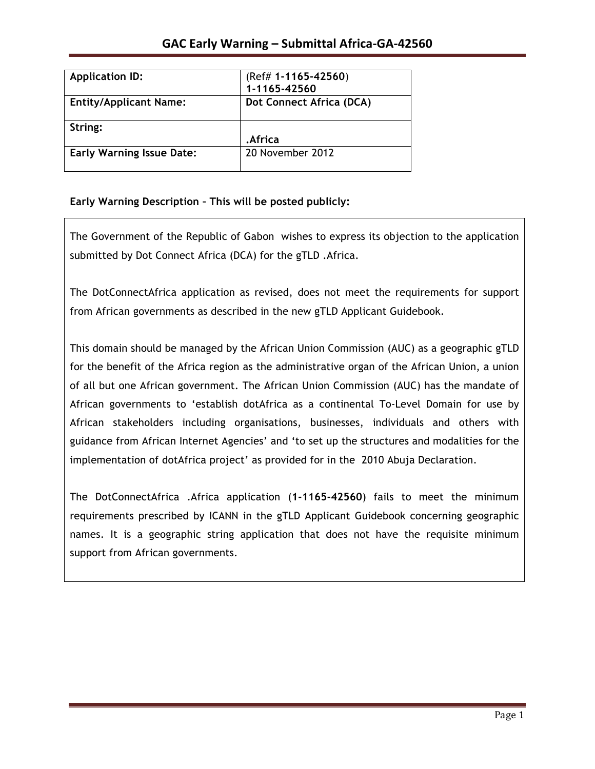| <b>Application ID:</b>           | (Ref# 1-1165-42560)<br>1-1165-42560 |
|----------------------------------|-------------------------------------|
| <b>Entity/Applicant Name:</b>    | <b>Dot Connect Africa (DCA)</b>     |
| String:                          |                                     |
|                                  | .Africa                             |
| <b>Early Warning Issue Date:</b> | 20 November 2012                    |

# **Early Warning Description – This will be posted publicly:**

The Government of the Republic of Gabon wishes to express its objection to the application submitted by Dot Connect Africa (DCA) for the gTLD .Africa.

The DotConnectAfrica application as revised, does not meet the requirements for support from African governments as described in the new gTLD Applicant Guidebook.

This domain should be managed by the African Union Commission (AUC) as a geographic gTLD for the benefit of the Africa region as the administrative organ of the African Union, a union of all but one African government. The African Union Commission (AUC) has the mandate of African governments to 'establish dotAfrica as a continental To-Level Domain for use by African stakeholders including organisations, businesses, individuals and others with guidance from African Internet Agencies' and 'to set up the structures and modalities for the implementation of dotAfrica project' as provided for in the 2010 Abuja Declaration.

The DotConnectAfrica .Africa application (**1-1165-42560**) fails to meet the minimum requirements prescribed by ICANN in the gTLD Applicant Guidebook concerning geographic names. It is a geographic string application that does not have the requisite minimum support from African governments.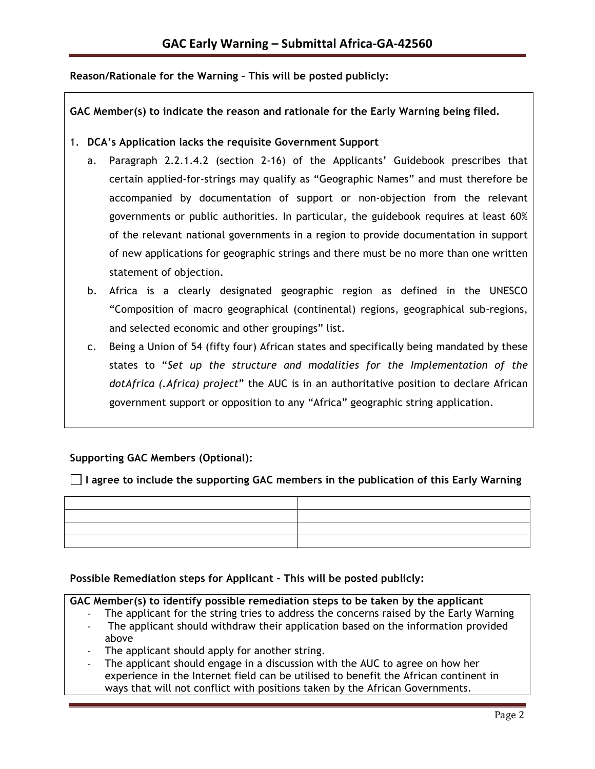**Reason/Rationale for the Warning – This will be posted publicly:** 

**GAC Member(s) to indicate the reason and rationale for the Early Warning being filed.** 

- 1. **DCA's Application lacks the requisite Government Support** 
	- a. Paragraph 2.2.1.4.2 (section 2-16) of the Applicants' Guidebook prescribes that certain applied-for-strings may qualify as "Geographic Names" and must therefore be accompanied by documentation of support or non-objection from the relevant governments or public authorities. In particular, the guidebook requires at least 60% of the relevant national governments in a region to provide documentation in support of new applications for geographic strings and there must be no more than one written statement of objection.
	- b. Africa is a clearly designated geographic region as defined in the UNESCO "Composition of macro geographical (continental) regions, geographical sub-regions, and selected economic and other groupings" list.
	- c. Being a Union of 54 (fifty four) African states and specifically being mandated by these states to "*Set up the structure and modalities for the Implementation of the dotAfrica (.Africa) project*" the AUC is in an authoritative position to declare African government support or opposition to any "Africa" geographic string application.

### **Supporting GAC Members (Optional):**

**I agree to include the supporting GAC members in the publication of this Early Warning**



### **Possible Remediation steps for Applicant – This will be posted publicly:**

**GAC Member(s) to identify possible remediation steps to be taken by the applicant**

- The applicant for the string tries to address the concerns raised by the Early Warning The applicant should withdraw their application based on the information provided
- above
- The applicant should apply for another string.
- The applicant should engage in a discussion with the AUC to agree on how her experience in the Internet field can be utilised to benefit the African continent in ways that will not conflict with positions taken by the African Governments.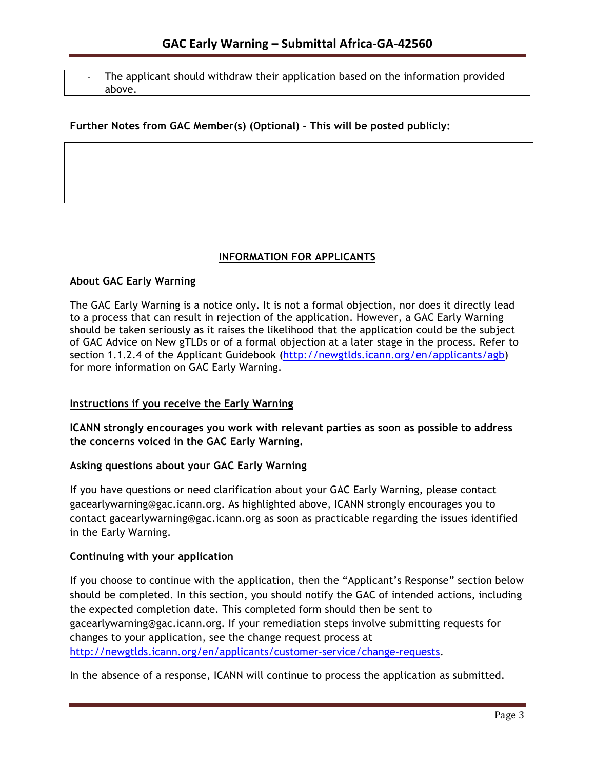The applicant should withdraw their application based on the information provided above.

# **Further Notes from GAC Member(s) (Optional) – This will be posted publicly:**

### **INFORMATION FOR APPLICANTS**

### **About GAC Early Warning**

The GAC Early Warning is a notice only. It is not a formal objection, nor does it directly lead to a process that can result in rejection of the application. However, a GAC Early Warning should be taken seriously as it raises the likelihood that the application could be the subject of GAC Advice on New gTLDs or of a formal objection at a later stage in the process. Refer to section 1.1.2.4 of the Applicant Guidebook (http://newgtlds.icann.org/en/applicants/agb) for more information on GAC Early Warning.

## **Instructions if you receive the Early Warning**

**ICANN strongly encourages you work with relevant parties as soon as possible to address the concerns voiced in the GAC Early Warning.**

### **Asking questions about your GAC Early Warning**

If you have questions or need clarification about your GAC Early Warning, please contact gacearlywarning@gac.icann.org. As highlighted above, ICANN strongly encourages you to contact gacearlywarning@gac.icann.org as soon as practicable regarding the issues identified in the Early Warning.

### **Continuing with your application**

If you choose to continue with the application, then the "Applicant's Response" section below should be completed. In this section, you should notify the GAC of intended actions, including the expected completion date. This completed form should then be sent to gacearlywarning@gac.icann.org. If your remediation steps involve submitting requests for changes to your application, see the change request process at http://newgtlds.icann.org/en/applicants/customer-service/change-requests.

In the absence of a response, ICANN will continue to process the application as submitted.